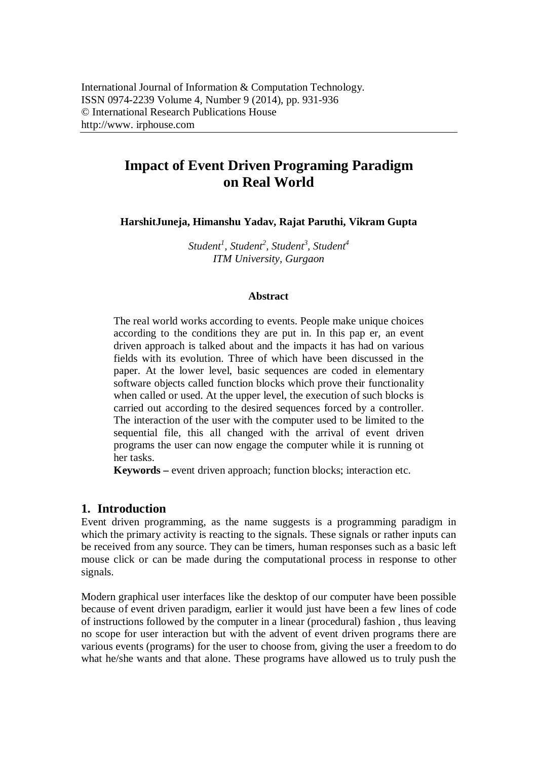# **Impact of Event Driven Programing Paradigm on Real World**

**HarshitJuneja, Himanshu Yadav, Rajat Paruthi, Vikram Gupta**

*Student<sup>1</sup> , Student<sup>2</sup> , Student<sup>3</sup> , Student<sup>4</sup> ITM University, Gurgaon*

#### **Abstract**

The real world works according to events. People make unique choices according to the conditions they are put in. In this pap er, an event driven approach is talked about and the impacts it has had on various fields with its evolution. Three of which have been discussed in the paper. At the lower level, basic sequences are coded in elementary software objects called function blocks which prove their functionality when called or used. At the upper level, the execution of such blocks is carried out according to the desired sequences forced by a controller. The interaction of the user with the computer used to be limited to the sequential file, this all changed with the arrival of event driven programs the user can now engage the computer while it is running ot her tasks.

**Keywords** – event driven approach; function blocks; interaction etc.

### **1. Introduction**

Event driven programming, as the name suggests is a programming paradigm in which the primary activity is reacting to the signals. These signals or rather inputs can be received from any source. They can be timers, human responses such as a basic left mouse click or can be made during the computational process in response to other signals.

Modern graphical user interfaces like the desktop of our computer have been possible because of event driven paradigm, earlier it would just have been a few lines of code of instructions followed by the computer in a linear (procedural) fashion , thus leaving no scope for user interaction but with the advent of event driven programs there are various events (programs) for the user to choose from, giving the user a freedom to do what he/she wants and that alone. These programs have allowed us to truly push the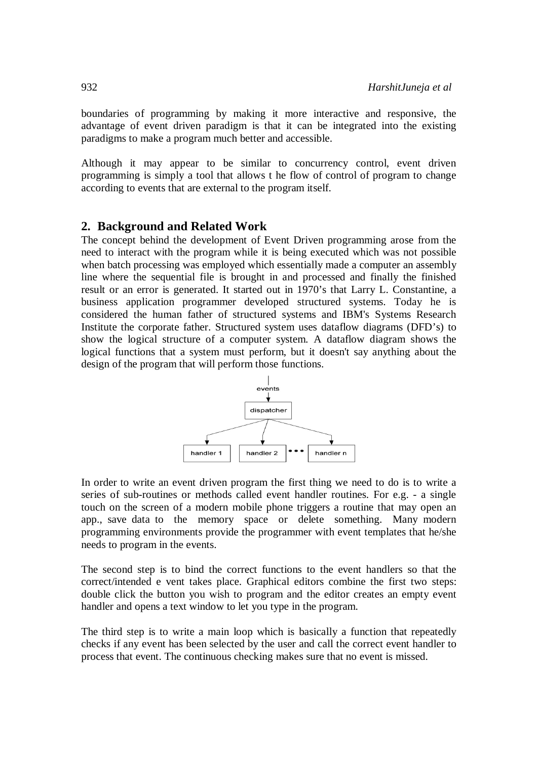boundaries of programming by making it more interactive and responsive, the advantage of event driven paradigm is that it can be integrated into the existing paradigms to make a program much better and accessible.

Although it may appear to be similar to concurrency control, event driven programming is simply a tool that allows t he flow of control of program to change according to events that are external to the program itself.

## **2. Background and Related Work**

The concept behind the development of Event Driven programming arose from the need to interact with the program while it is being executed which was not possible when batch processing was employed which essentially made a computer an assembly line where the sequential file is brought in and processed and finally the finished result or an error is generated. It started out in 1970's that Larry L. Constantine, a business application programmer developed structured systems. Today he is considered the human father of structured systems and IBM's Systems Research Institute the corporate father. Structured system uses dataflow diagrams (DFD's) to show the logical structure of a computer system. A dataflow diagram shows the logical functions that a system must perform, but it doesn't say anything about the design of the program that will perform those functions.



In order to write an event driven program the first thing we need to do is to write a series of sub-routines or methods called event handler routines. For e.g. - a single touch on the screen of a modern mobile phone triggers a routine that may open an app., save data to the memory space or delete something. Many modern programming environments provide the programmer with event templates that he/she needs to program in the events.

The second step is to bind the correct functions to the event handlers so that the correct/intended e vent takes place. Graphical editors combine the first two steps: double click the button you wish to program and the editor creates an empty event handler and opens a text window to let you type in the program.

The third step is to write a main loop which is basically a function that repeatedly checks if any event has been selected by the user and call the correct event handler to process that event. The continuous checking makes sure that no event is missed.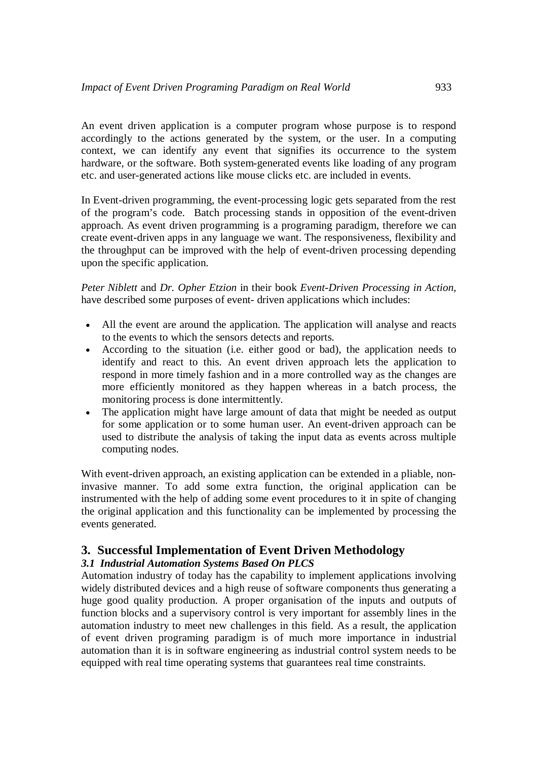An event driven application is a computer program whose purpose is to respond accordingly to the actions generated by the system, or the user. In a computing context, we can identify any event that signifies its occurrence to the system hardware, or the software. Both system-generated events like loading of any program etc. and user-generated actions like mouse clicks etc. are included in events.

In Event-driven programming, the event-processing logic gets separated from the rest of the program's code. Batch processing stands in opposition of the event-driven approach. As event driven programming is a programing paradigm, therefore we can create event-driven apps in any language we want. The responsiveness, flexibility and the throughput can be improved with the help of event-driven processing depending upon the specific application.

*Peter Niblett* and *Dr. Opher Etzion* in their book *Event-Driven Processing in Action*, have described some purposes of event- driven applications which includes:

- All the event are around the application. The application will analyse and reacts to the events to which the sensors detects and reports.
- According to the situation (i.e. either good or bad), the application needs to identify and react to this. An event driven approach lets the application to respond in more timely fashion and in a more controlled way as the changes are more efficiently monitored as they happen whereas in a batch process, the monitoring process is done intermittently.
- The application might have large amount of data that might be needed as output for some application or to some human user. An event-driven approach can be used to distribute the analysis of taking the input data as events across multiple computing nodes.

With event-driven approach, an existing application can be extended in a pliable, noninvasive manner. To add some extra function, the original application can be instrumented with the help of adding some event procedures to it in spite of changing the original application and this functionality can be implemented by processing the events generated.

# **3. Successful Implementation of Event Driven Methodology**

### *3.1 Industrial Automation Systems Based On PLCS*

Automation industry of today has the capability to implement applications involving widely distributed devices and a high reuse of software components thus generating a huge good quality production. A proper organisation of the inputs and outputs of function blocks and a supervisory control is very important for assembly lines in the automation industry to meet new challenges in this field. As a result, the application of event driven programing paradigm is of much more importance in industrial automation than it is in software engineering as industrial control system needs to be equipped with real time operating systems that guarantees real time constraints.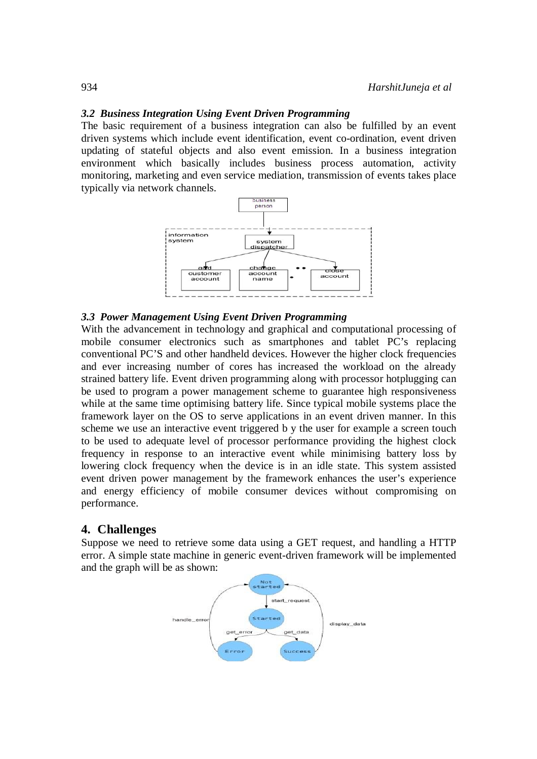#### *3.2 Business Integration Using Event Driven Programming*

The basic requirement of a business integration can also be fulfilled by an event driven systems which include event identification, event co-ordination, event driven updating of stateful objects and also event emission. In a business integration environment which basically includes business process automation, activity monitoring, marketing and even service mediation, transmission of events takes place typically via network channels.



#### *3.3 Power Management Using Event Driven Programming*

With the advancement in technology and graphical and computational processing of mobile consumer electronics such as smartphones and tablet PC's replacing conventional PC'S and other handheld devices. However the higher clock frequencies and ever increasing number of cores has increased the workload on the already strained battery life. Event driven programming along with processor hotplugging can be used to program a power management scheme to guarantee high responsiveness while at the same time optimising battery life. Since typical mobile systems place the framework layer on the OS to serve applications in an event driven manner. In this scheme we use an interactive event triggered b y the user for example a screen touch to be used to adequate level of processor performance providing the highest clock frequency in response to an interactive event while minimising battery loss by lowering clock frequency when the device is in an idle state. This system assisted event driven power management by the framework enhances the user's experience and energy efficiency of mobile consumer devices without compromising on performance.

#### **4. Challenges**

Suppose we need to retrieve some data using a GET request, and handling a HTTP error. A simple state machine in generic event-driven framework will be implemented and the graph will be as shown:

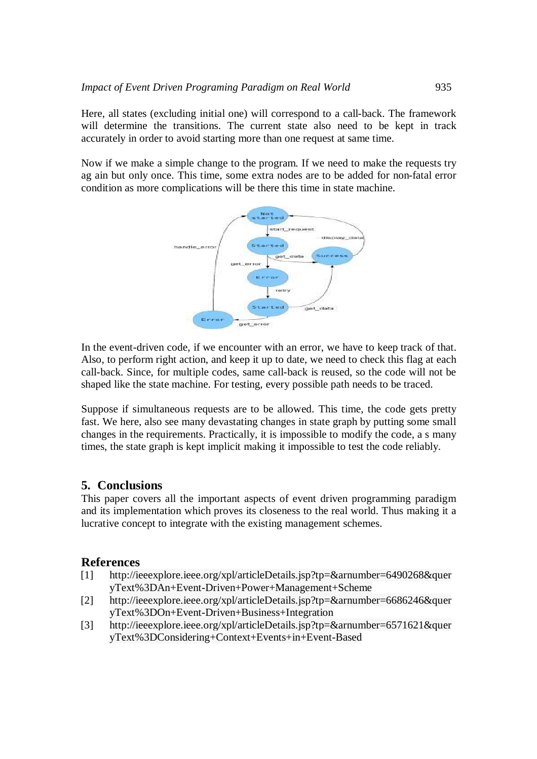Here, all states (excluding initial one) will correspond to a call-back. The framework will determine the transitions. The current state also need to be kept in track accurately in order to avoid starting more than one request at same time.

Now if we make a simple change to the program. If we need to make the requests try ag ain but only once. This time, some extra nodes are to be added for non-fatal error condition as more complications will be there this time in state machine.



In the event-driven code, if we encounter with an error, we have to keep track of that. Also, to perform right action, and keep it up to date, we need to check this flag at each call-back. Since, for multiple codes, same call-back is reused, so the code will not be shaped like the state machine. For testing, every possible path needs to be traced.

Suppose if simultaneous requests are to be allowed. This time, the code gets pretty fast. We here, also see many devastating changes in state graph by putting some small changes in the requirements. Practically, it is impossible to modify the code, a s many times, the state graph is kept implicit making it impossible to test the code reliably.

# **5. Conclusions**

This paper covers all the important aspects of event driven programming paradigm and its implementation which proves its closeness to the real world. Thus making it a lucrative concept to integrate with the existing management schemes.

### **References**

- [1] http://ieeexplore.ieee.org/xpl/articleDetails.jsp?tp=&arnumber=6490268&quer yText%3DAn+Event-Driven+Power+Management+Scheme
- [2] http://ieeexplore.ieee.org/xpl/articleDetails.jsp?tp=&arnumber=6686246&quer yText%3DOn+Event-Driven+Business+Integration
- [3] http://ieeexplore.ieee.org/xpl/articleDetails.jsp?tp=&arnumber=6571621&quer yText%3DConsidering+Context+Events+in+Event-Based